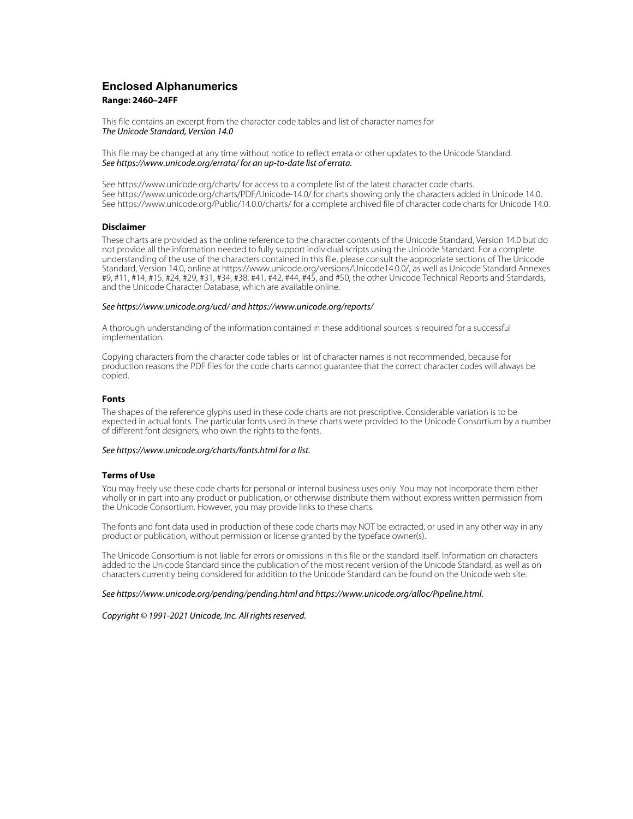# **Enclosed Alphanumerics Range: 2460–24FF**

This file contains an excerpt from the character code tables and list of character names for The Unicode Standard, Version 14.0

This file may be changed at any time without notice to reflect errata or other updates to the Unicode Standard. See https://www.unicode.org/errata/ for an up-to-date list of errata.

See https://www.unicode.org/charts/ for access to a complete list of the latest character code charts. See https://www.unicode.org/charts/PDF/Unicode-14.0/ for charts showing only the characters added in Unicode 14.0. See https://www.unicode.org/Public/14.0.0/charts/ for a complete archived file of character code charts for Unicode 14.0.

## **Disclaimer**

These charts are provided as the online reference to the character contents of the Unicode Standard, Version 14.0 but do not provide all the information needed to fully support individual scripts using the Unicode Standard. For a complete understanding of the use of the characters contained in this file, please consult the appropriate sections of The Unicode Standard, Version 14.0, online at https://www.unicode.org/versions/Unicode14.0.0/, as well as Unicode Standard Annexes #9, #11, #14, #15, #24, #29, #31, #34, #38, #41, #42, #44, #45, and #50, the other Unicode Technical Reports and Standards, and the Unicode Character Database, which are available online.

#### See https://www.unicode.org/ucd/ and https://www.unicode.org/reports/

A thorough understanding of the information contained in these additional sources is required for a successful implementation.

Copying characters from the character code tables or list of character names is not recommended, because for production reasons the PDF files for the code charts cannot guarantee that the correct character codes will always be copied.

#### **Fonts**

The shapes of the reference glyphs used in these code charts are not prescriptive. Considerable variation is to be expected in actual fonts. The particular fonts used in these charts were provided to the Unicode Consortium by a number of different font designers, who own the rights to the fonts.

## See https://www.unicode.org/charts/fonts.html for a list.

### **Terms of Use**

You may freely use these code charts for personal or internal business uses only. You may not incorporate them either wholly or in part into any product or publication, or otherwise distribute them without express written permission from the Unicode Consortium. However, you may provide links to these charts.

The fonts and font data used in production of these code charts may NOT be extracted, or used in any other way in any product or publication, without permission or license granted by the typeface owner(s).

The Unicode Consortium is not liable for errors or omissions in this file or the standard itself. Information on characters added to the Unicode Standard since the publication of the most recent version of the Unicode Standard, as well as on characters currently being considered for addition to the Unicode Standard can be found on the Unicode web site.

#### See https://www.unicode.org/pending/pending.html and https://www.unicode.org/alloc/Pipeline.html.

Copyright © 1991-2021 Unicode, Inc. All rights reserved.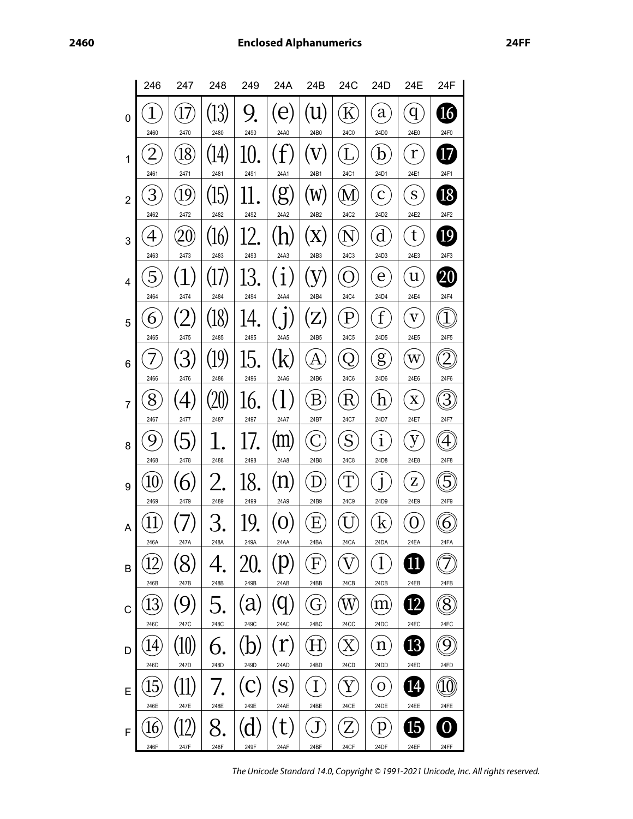|                  | 246        | 247        | 248                    | 249         | 24A             | 24B                       | 24C                        | 24D                           | 24E                           | 24F                        |
|------------------|------------|------------|------------------------|-------------|-----------------|---------------------------|----------------------------|-------------------------------|-------------------------------|----------------------------|
| $\mathbf 0$      | 1<br>2460  | 2470       | $\overline{3}$<br>2480 | 9.<br>2490  | (e)<br>24A0     | $\mathbf{u}$<br>24B0      | K<br>24C0                  | a<br>24D0                     | $\boldsymbol{q}$<br>24E0      | 16<br>24F0                 |
| $\mathbf{1}$     | 2461       | 18<br>2471 | 2481                   | 10.<br>2491 | 24A1            | W<br>24B1                 | 24C1                       | b<br>24D1                     | $\mathbf r$<br>24E1           | $\boldsymbol{\Pi}$<br>24F1 |
| $\overline{2}$   | 3<br>2462  | 9<br>2472  | 2482                   | 2492        | 24A2            | 24B2                      | 24C2                       | C<br>24D2                     | S<br>24E2                     | 18)<br>24F2                |
| 3                | 4<br>2463  | 2473       | 6)<br>2483             | 2493        | 24A3            | 24B3                      | 24C3                       | d<br>24D3                     | t<br>24E3                     | 19)<br>24F3                |
| 4                | 5<br>2464  | 2474       | 2484                   | 13.<br>2494 | 24A4            | 24B4                      | 24C4                       | $\mathbf e$<br>24D4           | u<br>24E4                     | 24F4                       |
| 5                | 6<br>2465  | 2475       | 2485                   | 2495        | 24A5            | Z)<br>24B5                | r<br>24C5                  | f<br>24D <sub>5</sub>         | $\overline{\text{V}}$<br>24E5 | 24F5                       |
| 6                | 2466       | 2476       | 2486                   | 2496        | 24A6            | A<br>24B6                 | 24C6                       | g<br>24D6                     | W<br>24E6                     | 24F6                       |
| 7                | 8<br>2467  | 2477       | 2487                   | 16.<br>2497 | 24A7            | 24B7                      | $_{\rm R}$<br>24C7         | h<br>24D7                     | $\mathbf X$<br>24E7           | 24F7                       |
| 8                | 9<br>2468  | 2478       | 2488                   | 2498        | 24A8            | 24B8                      | S<br>24C8                  | 1<br>24D8                     | 24E8                          | 24F8                       |
| $\boldsymbol{9}$ | 10<br>2469 | 2479       | 2.<br>2489             | 18.<br>2499 | 24A9            | 24B9                      | 24C9                       | 24D9                          | ${\bf Z}$<br>24E9             | 24F9                       |
| A                | 246A       | 247A       | 248A                   | 249A        | 24AA            | 24BA                      | 24CA                       | k<br>24DA                     | 24EA                          | 24FA                       |
| В                | 246B       | 247B       | 248B                   | 20.<br>249B | 24AB            | $\mathbf{F}$<br>24BB      | 24CB                       | l<br>24DB                     | 11<br>24EB                    | 24FB                       |
| C                | 13<br>246C | 247C       | 248C                   | a<br>249C   | 24AC            | ٦<br>$\mathbf{J}$<br>24BC | 24CC                       | $\mathop{\mathrm{m}}$<br>24DC | 12<br>24EC                    | $\rm \overline{8}$<br>24FC |
| D                | 14<br>246D | 247D       | 6.<br>248D             | 249D        | 24AD            | Η<br>24BD                 | Δ<br>24CD                  | n<br>24DD                     | <b>13</b><br>24ED             | 24FD                       |
| E                | 15<br>246E | 247E       | $\sqrt{2}$<br>248E     | 249E        | $\rm S$<br>24AE | I<br>24BE                 | $\rm \overline{Y}$<br>24CE | O<br>24DE                     | 14<br>24EE                    | 24FE                       |
| F                | 16<br>246F | 247F       | 8<br>248F              | 249F        | 24AF            | 24BF                      | 24CF                       | p<br>24DF                     | 15<br>24EF                    | 24FF                       |

The Unicode Standard 14.0, Copyright © 1991-2021 Unicode, Inc. All rights reserved.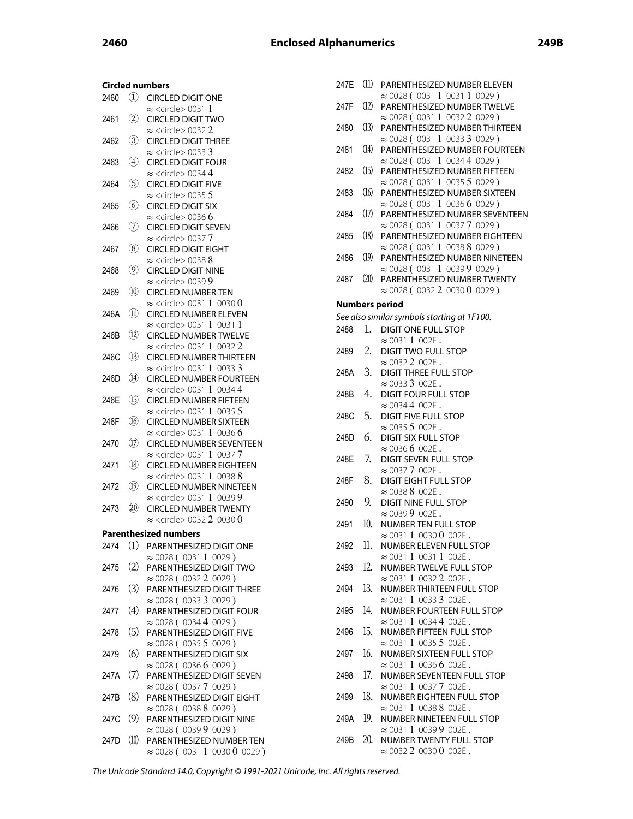| <b>Circled numbers</b> |                                  |                                                                                |  |  |  |  |
|------------------------|----------------------------------|--------------------------------------------------------------------------------|--|--|--|--|
| 2460                   | (1)                              | <b>CIRCLED DIGIT ONE</b>                                                       |  |  |  |  |
|                        |                                  | $\approx$ <circle> 0031 1</circle>                                             |  |  |  |  |
| 2461                   | (2)                              | <b>CIRCLED DIGIT TWO</b>                                                       |  |  |  |  |
| 2462                   | $\circled{3}$                    | $\approx$ <circle> 0032 <math>2</math><br/><b>CIRCLED DIGIT THREE</b></circle> |  |  |  |  |
|                        |                                  | $\approx$ <circle> 0033 <math>3</math></circle>                                |  |  |  |  |
| 2463                   | $\circled{4}$                    | <b>CIRCLED DIGIT FOUR</b>                                                      |  |  |  |  |
|                        |                                  | $\approx$ <circle> 00344</circle>                                              |  |  |  |  |
| 2464                   | $\circledS$                      | <b>CIRCLED DIGIT FIVE</b>                                                      |  |  |  |  |
|                        |                                  | $\approx$ <circle> 0035 <math>5</math></circle>                                |  |  |  |  |
| 2465                   | $\circledast$                    | <b>CIRCLED DIGIT SIX</b>                                                       |  |  |  |  |
|                        |                                  | $\approx$ <circle> 0036 6</circle>                                             |  |  |  |  |
| 2466                   | (7)                              | <b>CIRCLED DIGIT SEVEN</b><br>$\approx$ <circle> 0037 <math>7</math></circle>  |  |  |  |  |
| 2467                   | (8)                              | <b>CIRCLED DIGIT EIGHT</b>                                                     |  |  |  |  |
|                        |                                  | $\approx$ <circle> 0038 <math>8</math></circle>                                |  |  |  |  |
| 2468                   | $\circledcirc$                   | <b>CIRCLED DIGIT NINE</b>                                                      |  |  |  |  |
|                        |                                  | $\approx$ <circle> 00399</circle>                                              |  |  |  |  |
| 2469                   | $\circled{10}$                   | <b>CIRCLED NUMBER TEN</b>                                                      |  |  |  |  |
|                        |                                  | $\approx$ <circle> 0031 1 0030 0</circle>                                      |  |  |  |  |
| 246A                   | $\circled{\scriptstyle 1}$       | <b>CIRCLED NUMBER ELEVEN</b>                                                   |  |  |  |  |
|                        |                                  | $\approx$ <circle> 0031 1 0031 1</circle>                                      |  |  |  |  |
| 246B                   | $\left( \overline{12}\right)$    | <b>CIRCLED NUMBER TWELVE</b><br>$\approx$ <circle> 0031 1 0032 2</circle>      |  |  |  |  |
| 246C                   | $\circled{13}$                   | <b>CIRCLED NUMBER THIRTEEN</b>                                                 |  |  |  |  |
|                        |                                  | $\approx$ <circle> 0031 1 0033 3</circle>                                      |  |  |  |  |
| 246D                   | $\circled{14}$                   | <b>CIRCLED NUMBER FOURTEEN</b>                                                 |  |  |  |  |
|                        |                                  | $\approx$ <circle> 0031 1 0034 4</circle>                                      |  |  |  |  |
| 246E                   | $\circled{15}$                   | <b>CIRCLED NUMBER FIFTEEN</b>                                                  |  |  |  |  |
|                        |                                  | $\approx$ <circle> 0031 1 0035 5</circle>                                      |  |  |  |  |
| 246F                   | (16)                             | <b>CIRCLED NUMBER SIXTEEN</b>                                                  |  |  |  |  |
| 2470                   | $\left(\overline{\Omega}\right)$ | $\approx$ <circle> 0031 1 0036 6<br/><b>CIRCLED NUMBER SEVENTEEN</b></circle>  |  |  |  |  |
|                        |                                  | $\approx$ <circle> 0031 1 0037 7</circle>                                      |  |  |  |  |
| 2471                   | $(\overline{18})$                | <b>CIRCLED NUMBER EIGHTEEN</b>                                                 |  |  |  |  |
|                        |                                  | $\approx$ <circle> 0031 1 0038 8</circle>                                      |  |  |  |  |
| 2472                   | $\circled{19}$                   | <b>CIRCLED NUMBER NINETEEN</b>                                                 |  |  |  |  |
|                        |                                  | $\approx$ <circle> 0031 1 0039 9</circle>                                      |  |  |  |  |
| 2473                   | (20)                             | <b>CIRCLED NUMBER TWENTY</b>                                                   |  |  |  |  |
|                        |                                  | $\approx$ <circle> 0032 2 0030 0</circle>                                      |  |  |  |  |
|                        |                                  | <b>Parenthesized numbers</b>                                                   |  |  |  |  |
|                        |                                  | 2474 (1) PARENTHESIZED DIGIT ONE                                               |  |  |  |  |
|                        | (2)                              | $\approx 0028(003110029)$                                                      |  |  |  |  |
| 2475                   |                                  | PARENTHESIZED DIGIT TWO<br>$\approx 0028(003220029)$                           |  |  |  |  |
| 2476                   | (3)                              | PARENTHESIZED DIGIT THREE                                                      |  |  |  |  |
|                        |                                  | $\approx 0028(0033330029)$                                                     |  |  |  |  |
| 2477                   | (4)                              | PARENTHESIZED DIGIT FOUR                                                       |  |  |  |  |
|                        |                                  | $\approx 0028(003440029)$                                                      |  |  |  |  |
| 2478                   | (5)                              | PARENTHESIZED DIGIT FIVE                                                       |  |  |  |  |
|                        |                                  | $\approx 0028(0035550029)$                                                     |  |  |  |  |
| 2479                   | (6)                              | PARENTHESIZED DIGIT SIX                                                        |  |  |  |  |
| 247A                   | (7)                              | $\approx 0028(003660029)$<br>PARENTHESIZED DIGIT SEVEN                         |  |  |  |  |
|                        |                                  | $\approx 0028(003770029)$                                                      |  |  |  |  |
| 247B                   | (8)                              | PARENTHESIZED DIGIT EIGHT                                                      |  |  |  |  |
|                        |                                  | $\approx 0028(003880029)$                                                      |  |  |  |  |
| 247C                   | (9)                              | PARENTHESIZED DIGIT NINE                                                       |  |  |  |  |
|                        |                                  | $\approx 0028(0039990029)$                                                     |  |  |  |  |
| 247D                   | (10)                             | PARENTHESIZED NUMBER TEN                                                       |  |  |  |  |
|                        |                                  | $\approx 0028(00311003000029)$                                                 |  |  |  |  |

| 247E | (11) | PARENTHESIZED NUMBER ELEVEN<br>$\approx 0028(00311003110029)$                                    |
|------|------|--------------------------------------------------------------------------------------------------|
| 247F | (12) | PARENTHESIZED NUMBER TWELVE                                                                      |
| 2480 | (13) | $\approx 0028(00311003220029)$<br>PARENTHESIZED NUMBER THIRTEEN                                  |
| 2481 | (14) | $\approx 0028$ (0031 1 0033 3 0029)<br>PARENTHESIZED NUMBER FOURTEEN                             |
| 2482 | (15) | $\approx 0028(00311003440029)$<br>PARENTHESIZED NUMBER FIFTEEN                                   |
| 2483 | (16) | $\approx 0028(00311003550029)$<br>PARENTHESIZED NUMBER SIXTEEN                                   |
| 2484 | (17) | $\approx 0028(00311003660029)$<br>PARENTHESIZED NUMBER SEVENTEEN                                 |
| 2485 | (18) | $\approx 0028(00311003770029)$<br>PARENTHESIZED NUMBER EIGHTEEN                                  |
| 2486 | (19) | $\approx 0028(00311003880029)$<br>PARENTHESIZED NUMBER NINETEEN                                  |
| 2487 | (20) | $\approx 0028(003110039990029)$<br>PARENTHESIZED NUMBER TWENTY<br>$\approx 0028(00322003000029)$ |
|      |      |                                                                                                  |
|      |      | <b>Numbers period</b><br>See also similar symbols starting at 1F100.                             |
| 2488 | 1.   | <b>DIGIT ONE FULL STOP</b>                                                                       |
|      |      | $\approx 00311002E$ .                                                                            |
| 2489 | 2.   | DIGIT TWO FULL STOP                                                                              |
| 248A | 3.   | $\approx 00322002E$ .<br><b>DIGIT THREE FULL STOP</b>                                            |
| 248B | 4.   | $\approx 003333002E$ .<br><b>DIGIT FOUR FULL STOP</b>                                            |
| 248C | 5.   | $\approx 00344002E$ .<br><b>DIGIT FIVE FULL STOP</b>                                             |
| 248D | 6.   | $\approx 00355002E$ .<br>DIGIT SIX FULL STOP                                                     |
| 248E | 7.   | $\approx 00366002E$ .<br>DIGIT SEVEN FULL STOP                                                   |
| 248F | 8.   | $\approx 00377002E$ .<br><b>DIGIT EIGHT FULL STOP</b>                                            |
| 2490 | 9.   | $\approx 00388002E$ .<br>DIGIT NINE FULL STOP                                                    |
| 2491 | 10.  | $\approx 003999002E$ .<br>NUMBER TEN FULL STOP                                                   |
|      |      | $\approx 00311100300002E$ .                                                                      |
| 2492 | 11.  | NUMBER ELEVEN FULL STOP<br>$\approx 0031100311002E$ .                                            |
| 2493 | 12.  | NUMBER TWELVE FULL STOP<br>$\approx 0031100322002E$ .                                            |
| 2494 | 13.  | NUMBER THIRTEEN FULL STOP<br>$\approx 00311003333002E$ .                                         |
| 2495 | 14.  | NUMBER FOURTEEN FULL STOP<br>$\approx 00311$ 00344 002E.                                         |
| 2496 | 15.  | NUMBER FIFTEEN FULL STOP<br>$\approx 00311$ 0035 5 002E.                                         |
| 2497 | 16.  | NUMBER SIXTEEN FULL STOP<br>$\approx$ 0031 1 0036 6 002E.                                        |
| 2498 | 17.  | NUMBER SEVENTEEN FULL STOP                                                                       |
| 2499 | 18.  | $\approx 0031100377002E$ .<br>NUMBER EIGHTEEN FULL STOP                                          |
| 249A | 19.  | $\approx 00311$ 0038 8 002E.<br>NUMBER NINETEEN FULL STOP                                        |
| 249B | 20.  | $\approx$ 0031 1 0039 9 002E.<br>NUMBER TWENTY FULL STOP                                         |

 $\approx$  0032 2 0030 0 002E.

The Unicode Standard 14.0, Copyright © 1991-2021 Unicode, Inc. All rights reserved.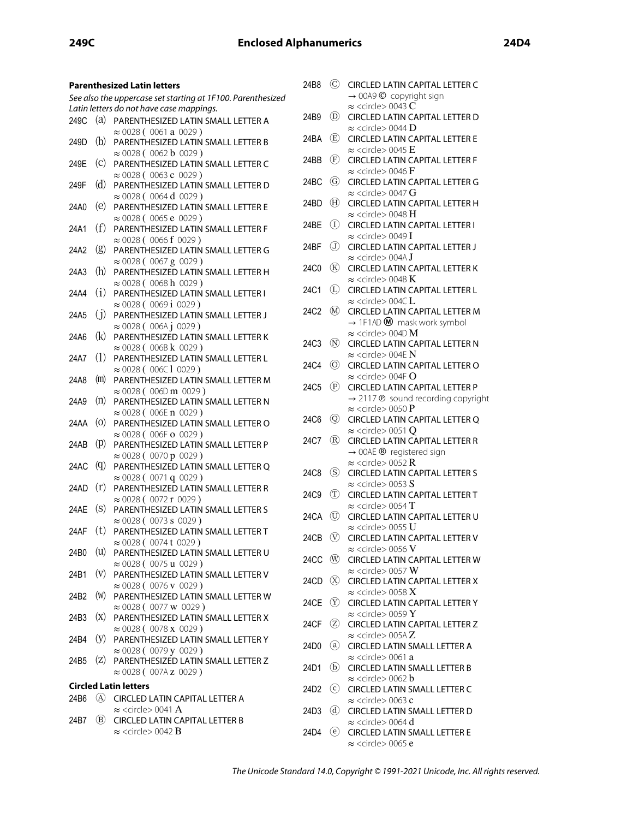# **Parenthesized Latin letters**

See also the uppercase set starting at 1F100. Parenthesized Latin letters do not have case mappings. 249C (a) PARENTHESIZED LATIN SMALL LETTER A  $\approx 0028$  ( 0061 a 0029 ) 249D (b) PARENTHESIZED LATIN SMALL LETTER B ≈ 0028 ( 0062 b 0029 ) 249E (C) PARENTHESIZED LATIN SMALL LETTER C ≈ 0028 ( 0063 c 0029 ) 249F (d) PARENTHESIZED LATIN SMALL LETTER D  $\approx 0028$  ( 0064 d 0029 ) 24A0 (e) PARENTHESIZED LATIN SMALL LETTER E  $\approx 0028$  ( 0065 e 0029 ) 24A1 (f) PARENTHESIZED LATIN SMALL LETTER F  $\approx 0028$  ( 0066 f 0029 ) 24A2 (g) PARENTHESIZED LATIN SMALL LETTER G  $\approx 0028$  ( 0067 g 0029 ) 24A3 (h) PARENTHESIZED LATIN SMALL LETTER H  $\approx 0028$  ( 0068 h 0029 ) 24A4 (i) PARENTHESIZED LATIN SMALL LETTER I ≈ 0028 ( 0069 i 0029 ) 24A5 (J) PARENTHESIZED LATIN SMALL LETTER J ≈ 0028 ( 006A j 0029 ) 24A6 (k) PARENTHESIZED LATIN SMALL LETTER K  $\approx 0028$  ( 006B k 0029 ) 24A7 (1) PARENTHESIZED LATIN SMALL LETTER L  $\approx 0028$  ( 006C l 0029 ) 24A8 (m) PARENTHESIZED LATIN SMALL LETTER M  $\approx 0028$  ( 006D m 0029 ) 24A9 (I) PARENTHESIZED LATIN SMALL LETTER N  $\approx 0028$  ( 006E n 0029 ) 24AA (0) PARENTHESIZED LATIN SMALL LETTER O  $\approx 0028$  ( 006F o 0029 ) 24AB (P) PARENTHESIZED LATIN SMALL LETTER P  $\approx 0028$  ( 0070 p 0029 ) 24AC (9) PARENTHESIZED LATIN SMALL LETTER Q  $\approx 0028$  ( 0071 q 0029 ) 24AD (I) PARENTHESIZED LATIN SMALL LETTER R  $\approx 0028$  ( 0072 r 0029 ) 24AE (S) PARENTHESIZED LATIN SMALL LETTER S  $\approx 0028$  ( 0073 s 0029 ) 24AF (t) PARENTHESIZED LATIN SMALL LETTER T  $\approx 0028$  ( 0074 t 0029 ) 24B0 (U) PARENTHESIZED LATIN SMALL LETTER U  $\approx 0028$  ( 0075 u 0029 ) 24B1 (V) PARENTHESIZED LATIN SMALL LETTER V  $\approx 0028$  ( 0076 v 0029 ) 24B2 (W) PARENTHESIZED LATIN SMALL LETTER W  $\approx 0028$  ( 0077 w 0029 ) 24B3 (X) PARENTHESIZED LATIN SMALL LETTER X  $\approx 0028$  ( 0078 x 0029 ) 24B4 (V) PARENTHESIZED LATIN SMALL LETTER Y  $\approx 0028$  ( 0079 y 0029 ) 24B5 (Z) PARENTHESIZED LATIN SMALL LETTER Z  $\approx 0028$  ( 007A z 0029 ) **Circled Latin letters** 24B6 (A) CIRCLED LATIN CAPITAL LETTER A  $\approx$  <circle> 0041  $\rm A$ 

24B7 **B** CIRCLED LATIN CAPITAL LETTER B  $\approx$  <circle> 0042  $\bf{B}$ 

- 24B8 Ⓒ CIRCLED LATIN CAPITAL LETTER C  $\rightarrow$  00A9  $\odot$  copyright sign  $\approx$  <circle> 0043  $\bf C$ 24B9 (D) CIRCLED LATIN CAPITAL LETTER D
	- $\approx$  <circle> 0044  $\overline{\mathbf{D}}$
- 24BA (E) CIRCLED LATIN CAPITAL LETTER E  $\approx$  <circle> 0045  $\rm E$
- 24BB **E** CIRCLED LATIN CAPITAL LETTER F  $\approx$  <circle> 0046  $\rm F$
- 24BC **G** CIRCLED LATIN CAPITAL LETTER G  $\approx$  <circle> 0047  $\rm G$
- 24BD *A* CIRCLED LATIN CAPITAL LETTER H  $\approx$  <circle> 0048  $\rm H$
- 24BE (I) CIRCLED LATIN CAPITAL LETTER I  $\approx$  <circle> 0049 I
- 24BF **①** CIRCLED LATIN CAPITAL LETTER J ≈ <circle> 004A J
- 24C0 (K) CIRCLED LATIN CAPITAL LETTER K  $\approx$  <circle> 004B  $\rm{K}$
- 24C1 *C* CIRCLED LATIN CAPITAL LETTER L  $\approx$  <circle> 004C  $L$
- 24C2 M CIRCLED LATIN CAPITAL LETTER M  $\rightarrow$  1F1AD  $\omega$  mask work symbol  $\approx$  <circle> 004D  ${\rm M}$
- 24C3  $\circledR$  CIRCLED LATIN CAPITAL LETTER N  $\approx$  <circle> 004E  $\rm N$
- 24C4 (O) CIRCLED LATIN CAPITAL LETTER O  $\approx$  <circle> 004F  $\rm O$
- 24C5 <sup>(P)</sup> CIRCLED LATIN CAPITAL LETTER P → 2117 <sup>®</sup> sound recording copyright  $\approx$  <circle> 0050  $\bf P$
- 24C6 © CIRCLED LATIN CAPITAL LETTER Q  $\approx$  <circle> 0051 Q
- 24C7 R CIRCLED LATIN CAPITAL LETTER R  $\rightarrow$  00AE  $\circledR$  registered sign  $\approx$  <circle> 0052  ${\rm R}$
- 24C8 **S** CIRCLED LATIN CAPITAL LETTER S  $\approx$  <circle> 0053  $S$
- 24C9 (T) CIRCLED LATIN CAPITAL LETTER T  $\approx$  <circle> 0054  $T$
- 24CA **Ü** CIRCLED LATIN CAPITAL LETTER U  $\approx$  <circle> 0055  $U$
- 24CB  $\hat{V}$  CIRCLED LATIN CAPITAL LETTER V  $\approx$  <circle> 0056  $\rm V$
- 24CC W CIRCLED LATIN CAPITAL LETTER W  $\approx$  <circle> 0057  $W$
- 24CD  $(X)$  CIRCLED LATIN CAPITAL LETTER X  $\approx$  <circle> 0058  $\rm X$
- 24CE  $\circled{y}$  CIRCLED LATIN CAPITAL LETTER Y  $\approx$  <circle> 0059  $\rm Y$
- 24CF (Z) CIRCLED LATIN CAPITAL LETTER Z  $\approx$  <circle> 005A $Z$
- 24D0 a CIRCLED LATIN SMALL LETTER A ≈ <circle> 0061 a
- 24D1 ⓑ CIRCLED LATIN SMALL LETTER B  $\approx$  <circle> 0062  $\rm b$
- 24D2 ⓒ CIRCLED LATIN SMALL LETTER C  $\approx$  <circle> 0063 c
- 24D3 (d) CIRCLED LATIN SMALL LETTER D  $\approx$  <circle> 0064  $\rm{d}$
- 24D4 ⓔ CIRCLED LATIN SMALL LETTER E ≈ <circle> 0065 e